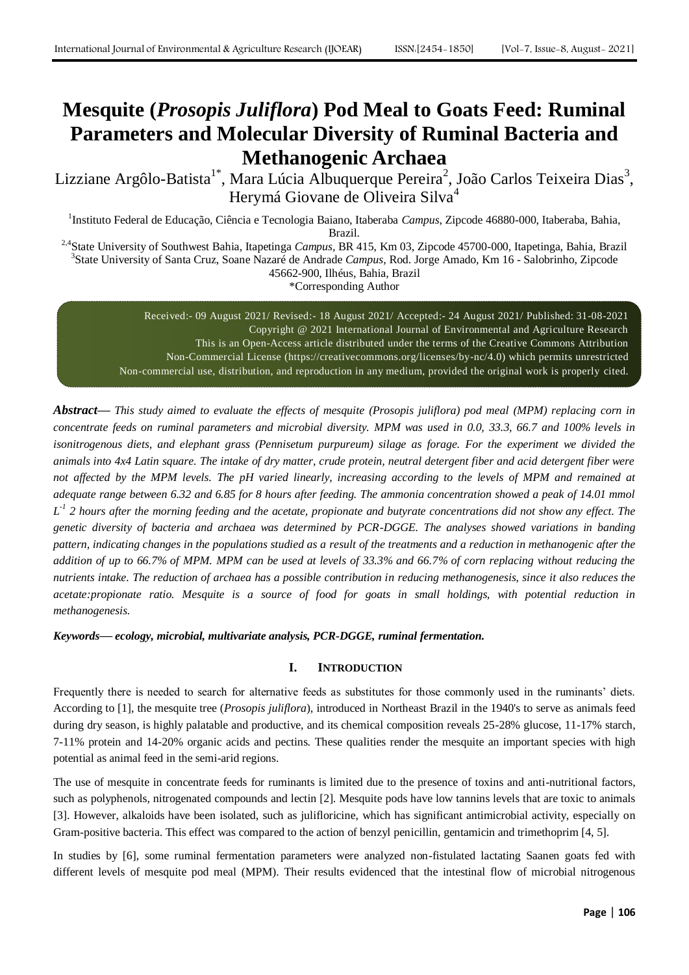# **Mesquite (***Prosopis Juliflora***) Pod Meal to Goats Feed: Ruminal Parameters and Molecular Diversity of Ruminal Bacteria and Methanogenic Archaea**

Lizziane Argôlo-Batista<sup>1\*</sup>, Mara Lúcia Albuquerque Pereira<sup>2</sup>, João Carlos Teixeira Dias<sup>3</sup>, Herymá Giovane de Oliveira Silva<sup>4</sup>

<sup>1</sup>Instituto Federal de Educação, Ciência e Tecnologia Baiano, Itaberaba *Campus*, Zipcode 46880-000, Itaberaba, Bahia, Brazil.

2,4State University of Southwest Bahia, Itapetinga *Campus,* BR 415, Km 03, Zipcode 45700-000, Itapetinga, Bahia, Brazil 3 State University of Santa Cruz, Soane Nazaré de Andrade *Campus*, Rod. Jorge Amado, Km 16 - Salobrinho, Zipcode 45662-900, Ilhéus, Bahia, Brazil \*Corresponding Author

> Received:- 09 August 2021/ Revised:- 18 August 2021/ Accepted:- 24 August 2021/ Published: 31-08-2021 Copyright @ 2021 International Journal of Environmental and Agriculture Research This is an Open-Access article distributed under the terms of the Creative Commons Attribution Non-Commercial License (https://creativecommons.org/licenses/by-nc/4.0) which permits unrestricted Non-commercial use, distribution, and reproduction in any medium, provided the original work is properly cited.

*Abstract***—** *This study aimed to evaluate the effects of mesquite (Prosopis juliflora) pod meal (MPM) replacing corn in concentrate feeds on ruminal parameters and microbial diversity. MPM was used in 0.0, 33.3, 66.7 and 100% levels in*  isonitrogenous diets, and elephant grass (Pennisetum purpureum) silage as forage. For the experiment we divided the *animals into 4x4 Latin square. The intake of dry matter, crude protein, neutral detergent fiber and acid detergent fiber were* not affected by the MPM levels. The pH varied linearly, increasing according to the levels of MPM and remained at *adequate range between 6.32 and 6.85 for 8 hours after feeding. The ammonia concentration showed a peak of 14.01 mmol L -1 2 hours after the morning feeding and the acetate, propionate and butyrate concentrations did not show any effect. The genetic diversity of bacteria and archaea was determined by PCR-DGGE. The analyses showed variations in banding pattern, indicating changes in the populations studied as a result of the treatments and a reduction in methanogenic after the addition of up to 66.7% of MPM. MPM can be used at levels of 33.3% and 66.7% of corn replacing without reducing the nutrients intake. The reduction of archaea has a possible contribution in reducing methanogenesis, since it also reduces the acetate:propionate ratio. Mesquite is a source of food for goats in small holdings, with potential reduction in methanogenesis.*

*Keywords***—** *ecology, microbial, multivariate analysis, PCR-DGGE, ruminal fermentation.*

# **I. INTRODUCTION**

Frequently there is needed to search for alternative feeds as substitutes for those commonly used in the ruminants" diets. According to [1], the mesquite tree (*Prosopis juliflora*), introduced in Northeast Brazil in the 1940's to serve as animals feed during dry season, is highly palatable and productive, and its chemical composition reveals 25-28% glucose, 11-17% starch, 7-11% protein and 14-20% organic acids and pectins. These qualities render the mesquite an important species with high potential as animal feed in the semi-arid regions.

The use of mesquite in concentrate feeds for ruminants is limited due to the presence of toxins and anti-nutritional factors, such as polyphenols, nitrogenated compounds and lectin [2]. Mesquite pods have low tannins levels that are toxic to animals [3]. However, alkaloids have been isolated, such as julifloricine, which has significant antimicrobial activity, especially on Gram-positive bacteria. This effect was compared to the action of benzyl penicillin, gentamicin and trimethoprim [4, 5].

In studies by [6], some ruminal fermentation parameters were analyzed non-fistulated lactating Saanen goats fed with different levels of mesquite pod meal (MPM). Their results evidenced that the intestinal flow of microbial nitrogenous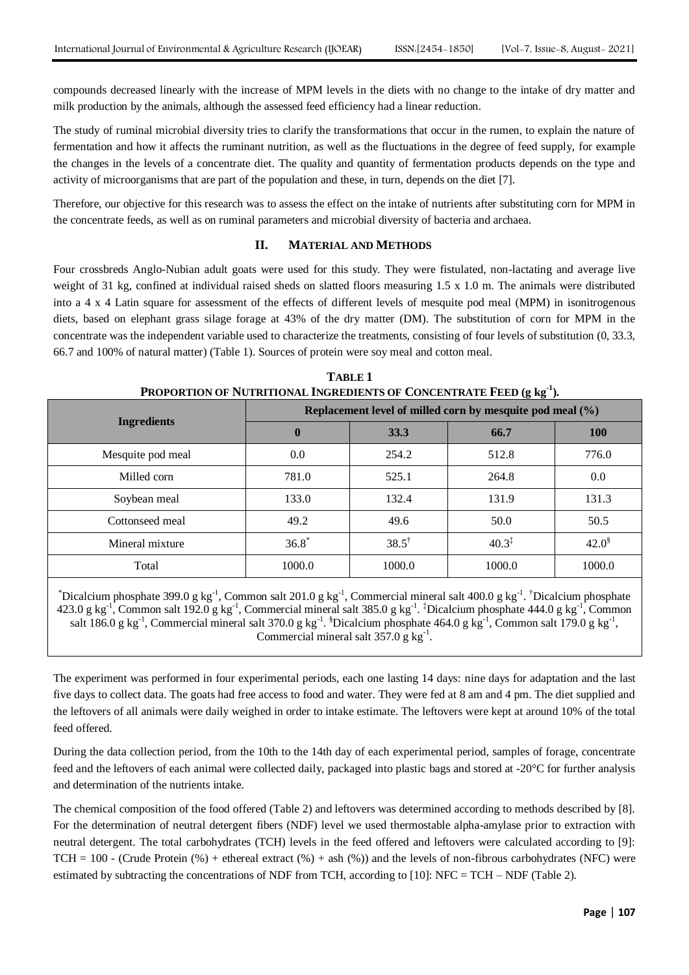compounds decreased linearly with the increase of MPM levels in the diets with no change to the intake of dry matter and milk production by the animals, although the assessed feed efficiency had a linear reduction.

The study of ruminal microbial diversity tries to clarify the transformations that occur in the rumen, to explain the nature of fermentation and how it affects the ruminant nutrition, as well as the fluctuations in the degree of feed supply, for example the changes in the levels of a concentrate diet. The quality and quantity of fermentation products depends on the type and activity of microorganisms that are part of the population and these, in turn, depends on the diet [7].

Therefore, our objective for this research was to assess the effect on the intake of nutrients after substituting corn for MPM in the concentrate feeds, as well as on ruminal parameters and microbial diversity of bacteria and archaea.

## **II. MATERIAL AND METHODS**

Four crossbreds Anglo-Nubian adult goats were used for this study. They were fistulated, non-lactating and average live weight of 31 kg, confined at individual raised sheds on slatted floors measuring 1.5 x 1.0 m. The animals were distributed into a 4 x 4 Latin square for assessment of the effects of different levels of mesquite pod meal (MPM) in isonitrogenous diets, based on elephant grass silage forage at 43% of the dry matter (DM). The substitution of corn for MPM in the concentrate was the independent variable used to characterize the treatments, consisting of four levels of substitution (0, 33.3, 66.7 and 100% of natural matter) (Table 1). Sources of protein were soy meal and cotton meal.

| I NOTONTION OF INCINITIONAL INGNEDIENTS OF CONCENTINATE FEED (2 N2). |                                                           |                  |                   |             |  |  |  |  |
|----------------------------------------------------------------------|-----------------------------------------------------------|------------------|-------------------|-------------|--|--|--|--|
| <b>Ingredients</b>                                                   | Replacement level of milled corn by mesquite pod meal (%) |                  |                   |             |  |  |  |  |
|                                                                      | $\bf{0}$                                                  | 33.3             | 66.7              | <b>100</b>  |  |  |  |  |
| Mesquite pod meal                                                    | 0.0                                                       | 254.2            | 512.8             | 776.0       |  |  |  |  |
| Milled corn                                                          | 781.0                                                     | 525.1            | 264.8             | 0.0         |  |  |  |  |
| Soybean meal                                                         | 133.0                                                     | 132.4            | 131.9             | 131.3       |  |  |  |  |
| Cottonseed meal                                                      | 49.2                                                      | 49.6             | 50.0              | 50.5        |  |  |  |  |
| Mineral mixture                                                      | $36.8^*$                                                  | $38.5^{\dagger}$ | $40.3^{\ddagger}$ | $42.0^{\$}$ |  |  |  |  |
| Total                                                                | 1000.0                                                    | 1000.0           | 1000.0            | 1000.0      |  |  |  |  |
|                                                                      |                                                           |                  |                   |             |  |  |  |  |

**TABLE 1 PROPORTION OF NUTRITIONAL INGREDIENTS OF CONCENTRATE FEED (g kg-1 ).**

 $*$ Dicalcium phosphate 399.0 g kg<sup>-1</sup>, Common salt 201.0 g kg<sup>-1</sup>, Commercial mineral salt 400.0 g kg<sup>-1</sup>. <sup>†</sup>Dicalcium phosphate 423.0 g kg<sup>-1</sup>, Common salt 192.0 g kg<sup>-1</sup>, Commercial mineral salt 385.0 g kg<sup>-1</sup>. <sup>‡</sup>Dicalcium phosphate 444.0 g kg<sup>-1</sup>, Common salt 186.0 g kg<sup>-1</sup>, Commercial mineral salt 370.0 g kg<sup>-1</sup>. <sup>§</sup>Dicalcium phosphate 464.0 g kg<sup>-1</sup>, Common salt 179.0 g kg<sup>-1</sup>, Commercial mineral salt  $357.0 \text{ g kg}^{-1}$ .

The experiment was performed in four experimental periods, each one lasting 14 days: nine days for adaptation and the last five days to collect data. The goats had free access to food and water. They were fed at 8 am and 4 pm. The diet supplied and the leftovers of all animals were daily weighed in order to intake estimate. The leftovers were kept at around 10% of the total feed offered.

During the data collection period, from the 10th to the 14th day of each experimental period, samples of forage, concentrate feed and the leftovers of each animal were collected daily, packaged into plastic bags and stored at -20°C for further analysis and determination of the nutrients intake.

The chemical composition of the food offered (Table 2) and leftovers was determined according to methods described by [8]. For the determination of neutral detergent fibers (NDF) level we used thermostable alpha-amylase prior to extraction with neutral detergent. The total carbohydrates (TCH) levels in the feed offered and leftovers were calculated according to [9]:  $TCH = 100$  - (Crude Protein (%) + ethereal extract (%) + ash (%)) and the levels of non-fibrous carbohydrates (NFC) were estimated by subtracting the concentrations of NDF from TCH, according to [10]: NFC = TCH – NDF (Table 2).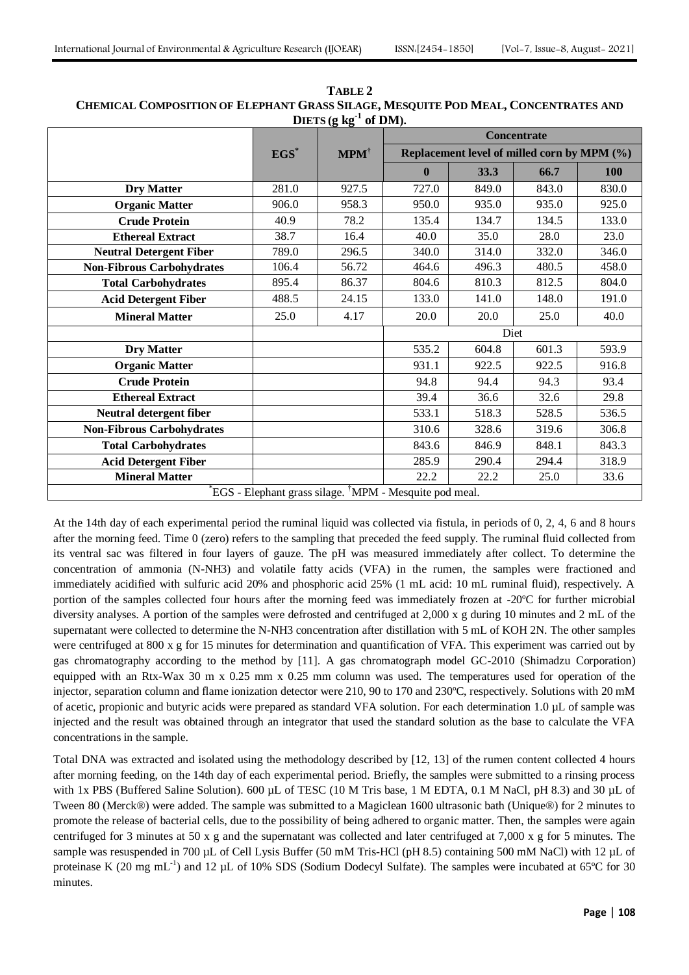| DIETS $(g \ kg^{-1} \ of \ DM)$ .                                  |         |                          |                                             |       |       |            |  |  |
|--------------------------------------------------------------------|---------|--------------------------|---------------------------------------------|-------|-------|------------|--|--|
|                                                                    |         |                          | <b>Concentrate</b>                          |       |       |            |  |  |
|                                                                    | $EGS^*$ | $\mathbf{MPM}^{\dagger}$ | Replacement level of milled corn by MPM (%) |       |       |            |  |  |
|                                                                    |         |                          | $\mathbf{0}$                                | 33.3  | 66.7  | <b>100</b> |  |  |
| <b>Dry Matter</b>                                                  | 281.0   | 927.5                    | 727.0                                       | 849.0 | 843.0 | 830.0      |  |  |
| <b>Organic Matter</b>                                              | 906.0   | 958.3                    | 950.0                                       | 935.0 | 935.0 | 925.0      |  |  |
| <b>Crude Protein</b>                                               | 40.9    | 78.2                     | 135.4                                       | 134.7 | 134.5 | 133.0      |  |  |
| <b>Ethereal Extract</b>                                            | 38.7    | 16.4                     | 40.0                                        | 35.0  | 28.0  | 23.0       |  |  |
| <b>Neutral Detergent Fiber</b>                                     | 789.0   | 296.5                    | 340.0                                       | 314.0 | 332.0 | 346.0      |  |  |
| <b>Non-Fibrous Carbohydrates</b>                                   | 106.4   | 56.72                    | 464.6                                       | 496.3 | 480.5 | 458.0      |  |  |
| <b>Total Carbohydrates</b>                                         | 895.4   | 86.37                    | 804.6                                       | 810.3 | 812.5 | 804.0      |  |  |
| <b>Acid Detergent Fiber</b>                                        | 488.5   | 24.15                    | 133.0                                       | 141.0 | 148.0 | 191.0      |  |  |
| <b>Mineral Matter</b>                                              | 25.0    | 4.17                     | 20.0                                        | 20.0  | 25.0  | 40.0       |  |  |
|                                                                    |         |                          | Diet                                        |       |       |            |  |  |
| <b>Dry Matter</b>                                                  |         |                          | 535.2                                       | 604.8 | 601.3 | 593.9      |  |  |
| <b>Organic Matter</b>                                              |         |                          | 931.1                                       | 922.5 | 922.5 | 916.8      |  |  |
| <b>Crude Protein</b>                                               |         |                          | 94.8                                        | 94.4  | 94.3  | 93.4       |  |  |
| <b>Ethereal Extract</b>                                            |         |                          | 39.4                                        | 36.6  | 32.6  | 29.8       |  |  |
| Neutral detergent fiber                                            |         |                          | 533.1                                       | 518.3 | 528.5 | 536.5      |  |  |
| <b>Non-Fibrous Carbohydrates</b>                                   |         |                          | 310.6                                       | 328.6 | 319.6 | 306.8      |  |  |
| <b>Total Carbohydrates</b>                                         |         |                          | 843.6                                       | 846.9 | 848.1 | 843.3      |  |  |
| <b>Acid Detergent Fiber</b>                                        |         |                          | 285.9                                       | 290.4 | 294.4 | 318.9      |  |  |
| <b>Mineral Matter</b>                                              |         |                          | 22.2                                        | 22.2  | 25.0  | 33.6       |  |  |
| EGS - Elephant grass silage. <sup>†</sup> MPM - Mesquite pod meal. |         |                          |                                             |       |       |            |  |  |

**TABLE 2 CHEMICAL COMPOSITION OF ELEPHANT GRASS SILAGE, MESQUITE POD MEAL, CONCENTRATES AND**   $\textbf{D}}$ **IETS** (**g** kg<sup>-1</sup> **of DM).**

At the 14th day of each experimental period the ruminal liquid was collected via fistula, in periods of 0, 2, 4, 6 and 8 hours after the morning feed. Time 0 (zero) refers to the sampling that preceded the feed supply. The ruminal fluid collected from its ventral sac was filtered in four layers of gauze. The pH was measured immediately after collect. To determine the concentration of ammonia (N-NH3) and volatile fatty acids (VFA) in the rumen, the samples were fractioned and immediately acidified with sulfuric acid 20% and phosphoric acid 25% (1 mL acid: 10 mL ruminal fluid), respectively. A portion of the samples collected four hours after the morning feed was immediately frozen at -20ºC for further microbial diversity analyses. A portion of the samples were defrosted and centrifuged at 2,000 x g during 10 minutes and 2 mL of the supernatant were collected to determine the N-NH3 concentration after distillation with 5 mL of KOH 2N. The other samples were centrifuged at 800 x g for 15 minutes for determination and quantification of VFA. This experiment was carried out by gas chromatography according to the method by [11]. A gas chromatograph model GC-2010 (Shimadzu Corporation) equipped with an Rtx-Wax 30 m x 0.25 mm x 0.25 mm column was used. The temperatures used for operation of the injector, separation column and flame ionization detector were 210, 90 to 170 and 230ºC, respectively. Solutions with 20 mM of acetic, propionic and butyric acids were prepared as standard VFA solution. For each determination 1.0 µL of sample was injected and the result was obtained through an integrator that used the standard solution as the base to calculate the VFA concentrations in the sample.

Total DNA was extracted and isolated using the methodology described by [12, 13] of the rumen content collected 4 hours after morning feeding, on the 14th day of each experimental period. Briefly, the samples were submitted to a rinsing process with 1x PBS (Buffered Saline Solution). 600 µL of TESC (10 M Tris base, 1 M EDTA, 0.1 M NaCl, pH 8.3) and 30 µL of Tween 80 (Merck®) were added. The sample was submitted to a Magiclean 1600 ultrasonic bath (Unique®) for 2 minutes to promote the release of bacterial cells, due to the possibility of being adhered to organic matter. Then, the samples were again centrifuged for 3 minutes at 50 x g and the supernatant was collected and later centrifuged at 7,000 x g for 5 minutes. The sample was resuspended in 700 µL of Cell Lysis Buffer (50 mM Tris-HCl (pH 8.5) containing 500 mM NaCl) with 12 µL of proteinase K (20 mg mL<sup>-1</sup>) and 12 µL of 10% SDS (Sodium Dodecyl Sulfate). The samples were incubated at 65°C for 30 minutes.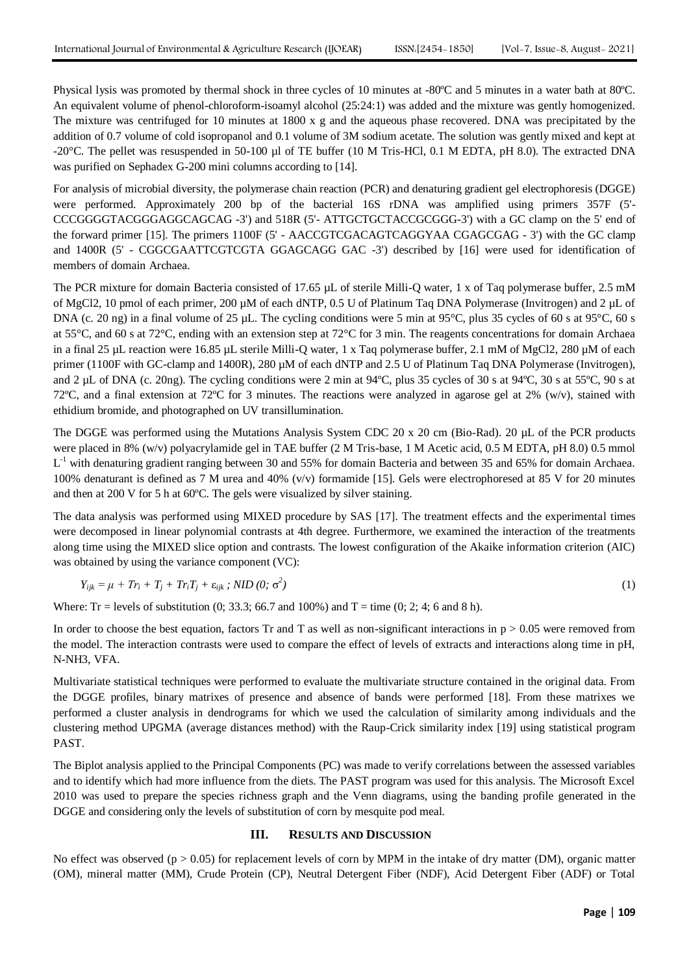Physical lysis was promoted by thermal shock in three cycles of 10 minutes at -80ºC and 5 minutes in a water bath at 80ºC. An equivalent volume of phenol-chloroform-isoamyl alcohol (25:24:1) was added and the mixture was gently homogenized. The mixture was centrifuged for 10 minutes at 1800 x g and the aqueous phase recovered. DNA was precipitated by the addition of 0.7 volume of cold isopropanol and 0.1 volume of 3M sodium acetate. The solution was gently mixed and kept at -20°C. The pellet was resuspended in 50-100 µl of TE buffer (10 M Tris-HCl, 0.1 M EDTA, pH 8.0). The extracted DNA was purified on Sephadex G-200 mini columns according to [14].

For analysis of microbial diversity, the polymerase chain reaction (PCR) and denaturing gradient gel electrophoresis (DGGE) were performed. Approximately 200 bp of the bacterial 16S rDNA was amplified using primers 357F (5'- CCCGGGGTACGGGAGGCAGCAG -3') and 518R (5'- ATTGCTGCTACCGCGGG-3') with a GC clamp on the 5' end of the forward primer [15]. The primers 1100F (5' - AACCGTCGACAGTCAGGYAA CGAGCGAG - 3') with the GC clamp and 1400R (5' - CGGCGAATTCGTCGTA GGAGCAGG GAC -3') described by [16] were used for identification of members of domain Archaea.

The PCR mixture for domain Bacteria consisted of 17.65 µL of sterile Milli-Q water, 1 x of Taq polymerase buffer, 2.5 mM of MgCl2, 10 pmol of each primer, 200 µM of each dNTP, 0.5 U of Platinum Taq DNA Polymerase (Invitrogen) and 2 µL of DNA (c. 20 ng) in a final volume of 25 µL. The cycling conditions were 5 min at 95 $^{\circ}$ C, plus 35 cycles of 60 s at 95 $^{\circ}$ C, 60 s at 55°C, and 60 s at 72°C, ending with an extension step at 72°C for 3 min. The reagents concentrations for domain Archaea in a final 25 µL reaction were 16.85 µL sterile Milli-Q water, 1 x Taq polymerase buffer, 2.1 mM of MgCl2, 280 µM of each primer (1100F with GC-clamp and 1400R), 280 µM of each dNTP and 2.5 U of Platinum Taq DNA Polymerase (Invitrogen), and 2 µL of DNA (c. 20ng). The cycling conditions were 2 min at 94 $^{\circ}$ C, plus 35 cycles of 30 s at 94 $^{\circ}$ C, 30 s at 55 $^{\circ}$ C, 90 s at 72°C, and a final extension at 72°C for 3 minutes. The reactions were analyzed in agarose gel at 2% (w/v), stained with ethidium bromide, and photographed on UV transillumination.

The DGGE was performed using the Mutations Analysis System CDC 20 x 20 cm (Bio-Rad). 20 µL of the PCR products were placed in 8% (w/v) polyacrylamide gel in TAE buffer (2 M Tris-base, 1 M Acetic acid, 0.5 M EDTA, pH 8.0) 0.5 mmol  $L^{-1}$  with denaturing gradient ranging between 30 and 55% for domain Bacteria and between 35 and 65% for domain Archaea. 100% denaturant is defined as 7 M urea and 40% (v/v) formamide [15]. Gels were electrophoresed at 85 V for 20 minutes and then at 200 V for 5 h at 60ºC. The gels were visualized by silver staining.

The data analysis was performed using MIXED procedure by SAS [17]. The treatment effects and the experimental times were decomposed in linear polynomial contrasts at 4th degree. Furthermore, we examined the interaction of the treatments along time using the MIXED slice option and contrasts. The lowest configuration of the Akaike information criterion (AIC) was obtained by using the variance component (VC):

$$
Y_{ijk} = \mu + Tr_i + T_j + Tr_i T_j + \varepsilon_{ijk} ; NID (0; \sigma^2)
$$
\n
$$
(1)
$$

Where: Tr = levels of substitution (0; 33.3; 66.7 and 100%) and  $T =$  time (0; 2; 4; 6 and 8 h).

In order to choose the best equation, factors Tr and T as well as non-significant interactions in  $p > 0.05$  were removed from the model. The interaction contrasts were used to compare the effect of levels of extracts and interactions along time in pH, N-NH3, VFA.

Multivariate statistical techniques were performed to evaluate the multivariate structure contained in the original data. From the DGGE profiles, binary matrixes of presence and absence of bands were performed [18]. From these matrixes we performed a cluster analysis in dendrograms for which we used the calculation of similarity among individuals and the clustering method UPGMA (average distances method) with the Raup-Crick similarity index [19] using statistical program PAST.

The Biplot analysis applied to the Principal Components (PC) was made to verify correlations between the assessed variables and to identify which had more influence from the diets. The PAST program was used for this analysis. The Microsoft Excel 2010 was used to prepare the species richness graph and the Venn diagrams, using the banding profile generated in the DGGE and considering only the levels of substitution of corn by mesquite pod meal.

## **III. RESULTS AND DISCUSSION**

No effect was observed ( $p > 0.05$ ) for replacement levels of corn by MPM in the intake of dry matter (DM), organic matter (OM), mineral matter (MM), Crude Protein (CP), Neutral Detergent Fiber (NDF), Acid Detergent Fiber (ADF) or Total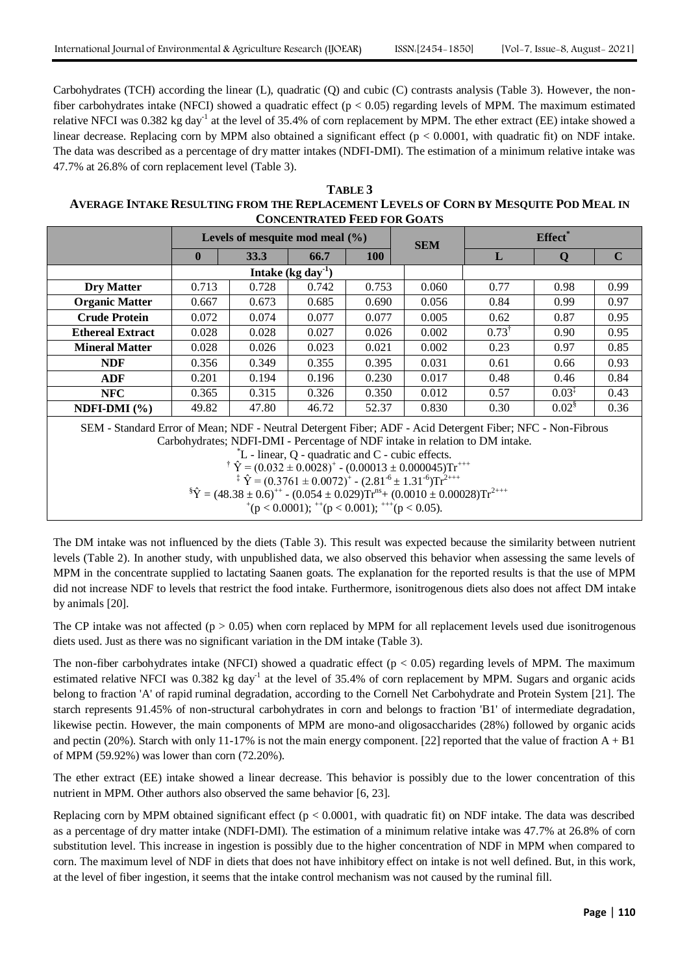Carbohydrates (TCH) according the linear (L), quadratic (Q) and cubic (C) contrasts analysis (Table 3). However, the nonfiber carbohydrates intake (NFCI) showed a quadratic effect ( $p < 0.05$ ) regarding levels of MPM. The maximum estimated relative NFCI was 0.382 kg day<sup>-1</sup> at the level of 35.4% of corn replacement by MPM. The ether extract (EE) intake showed a linear decrease. Replacing corn by MPM also obtained a significant effect ( $p < 0.0001$ , with quadratic fit) on NDF intake. The data was described as a percentage of dry matter intakes (NDFI-DMI). The estimation of a minimum relative intake was 47.7% at 26.8% of corn replacement level (Table 3).

**TABLE 3 AVERAGE INTAKE RESULTING FROM THE REPLACEMENT LEVELS OF CORN BY MESQUITE POD MEAL IN CONCENTRATED FEED FOR GOATS**

|                                                                                                            | Levels of mesquite mod meal $(\% )$ |       |                     |            | <b>SEM</b> | Effect <sup>*</sup> |                      |             |  |
|------------------------------------------------------------------------------------------------------------|-------------------------------------|-------|---------------------|------------|------------|---------------------|----------------------|-------------|--|
|                                                                                                            | $\mathbf{0}$                        | 33.3  | 66.7                | <b>100</b> |            | L                   | Q                    | $\mathbf C$ |  |
|                                                                                                            |                                     |       | Intake $(kg day-1)$ |            |            |                     |                      |             |  |
| Dry Matter                                                                                                 | 0.713                               | 0.728 | 0.742               | 0.753      | 0.060      | 0.77                | 0.98                 | 0.99        |  |
| <b>Organic Matter</b>                                                                                      | 0.667                               | 0.673 | 0.685               | 0.690      | 0.056      | 0.84                | 0.99                 | 0.97        |  |
| <b>Crude Protein</b>                                                                                       | 0.072                               | 0.074 | 0.077               | 0.077      | 0.005      | 0.62                | 0.87                 | 0.95        |  |
| <b>Ethereal Extract</b>                                                                                    | 0.028                               | 0.028 | 0.027               | 0.026      | 0.002      | $0.73^{\dagger}$    | 0.90                 | 0.95        |  |
| <b>Mineral Matter</b>                                                                                      | 0.028                               | 0.026 | 0.023               | 0.021      | 0.002      | 0.23                | 0.97                 | 0.85        |  |
| <b>NDF</b>                                                                                                 | 0.356                               | 0.349 | 0.355               | 0.395      | 0.031      | 0.61                | 0.66                 | 0.93        |  |
| <b>ADF</b>                                                                                                 | 0.201                               | 0.194 | 0.196               | 0.230      | 0.017      | 0.48                | 0.46                 | 0.84        |  |
| <b>NFC</b>                                                                                                 | 0.365                               | 0.315 | 0.326               | 0.350      | 0.012      | 0.57                | $0.03^{\frac{1}{4}}$ | 0.43        |  |
| NDFI-DMI $(\% )$                                                                                           | 49.82                               | 47.80 | 46.72               | 52.37      | 0.830      | 0.30                | $0.02^{\frac{1}{3}}$ | 0.36        |  |
| SEM - Standard Error of Mean; NDF - Neutral Detergent Fiber; ADF - Acid Detergent Fiber; NFC - Non-Fibrous |                                     |       |                     |            |            |                     |                      |             |  |

Carbohydrates; NDFI-DMI - Percentage of NDF intake in relation to DM intake.

 $^*$ L - linear, Q - quadratic and C - cubic effects.

<sup>†</sup>  $\hat{Y} = (0.032 \pm 0.0028)^{+}$  -  $(0.00013 \pm 0.000045)$ Tr<sup>+++</sup>

<sup>‡</sup>  $\hat{Y} = (0.3761 \pm 0.0072)^{+}$  -  $(2.81^{-6} \pm 1.31^{-6})$ Tr<sup>2+++</sup>

 ${}^{\$}\hat{Y} = (48.38 \pm 0.6)^{++}$  -  $(0.054 \pm 0.029)$ Tr<sup>ns</sup>+  $(0.0010 \pm 0.00028)$ Tr<sup>2+++</sup>

 $^+(p < 0.0001)$ ;  $^{++}(p < 0.001)$ ;  $^{++}(p < 0.05)$ .

The DM intake was not influenced by the diets (Table 3). This result was expected because the similarity between nutrient levels (Table 2). In another study, with unpublished data, we also observed this behavior when assessing the same levels of MPM in the concentrate supplied to lactating Saanen goats. The explanation for the reported results is that the use of MPM did not increase NDF to levels that restrict the food intake. Furthermore, isonitrogenous diets also does not affect DM intake by animals [20].

The CP intake was not affected ( $p > 0.05$ ) when corn replaced by MPM for all replacement levels used due isonitrogenous diets used. Just as there was no significant variation in the DM intake (Table 3).

The non-fiber carbohydrates intake (NFCI) showed a quadratic effect ( $p < 0.05$ ) regarding levels of MPM. The maximum estimated relative NFCI was 0.382 kg day<sup>-1</sup> at the level of 35.4% of corn replacement by MPM. Sugars and organic acids belong to fraction 'A' of rapid ruminal degradation, according to the Cornell Net Carbohydrate and Protein System [21]. The starch represents 91.45% of non-structural carbohydrates in corn and belongs to fraction 'B1' of intermediate degradation, likewise pectin. However, the main components of MPM are mono-and oligosaccharides (28%) followed by organic acids and pectin (20%). Starch with only 11-17% is not the main energy component. [22] reported that the value of fraction  $A + B1$ of MPM (59.92%) was lower than corn (72.20%).

The ether extract (EE) intake showed a linear decrease. This behavior is possibly due to the lower concentration of this nutrient in MPM. Other authors also observed the same behavior [6, 23].

Replacing corn by MPM obtained significant effect ( $p < 0.0001$ , with quadratic fit) on NDF intake. The data was described as a percentage of dry matter intake (NDFI-DMI). The estimation of a minimum relative intake was 47.7% at 26.8% of corn substitution level. This increase in ingestion is possibly due to the higher concentration of NDF in MPM when compared to corn. The maximum level of NDF in diets that does not have inhibitory effect on intake is not well defined. But, in this work, at the level of fiber ingestion, it seems that the intake control mechanism was not caused by the ruminal fill.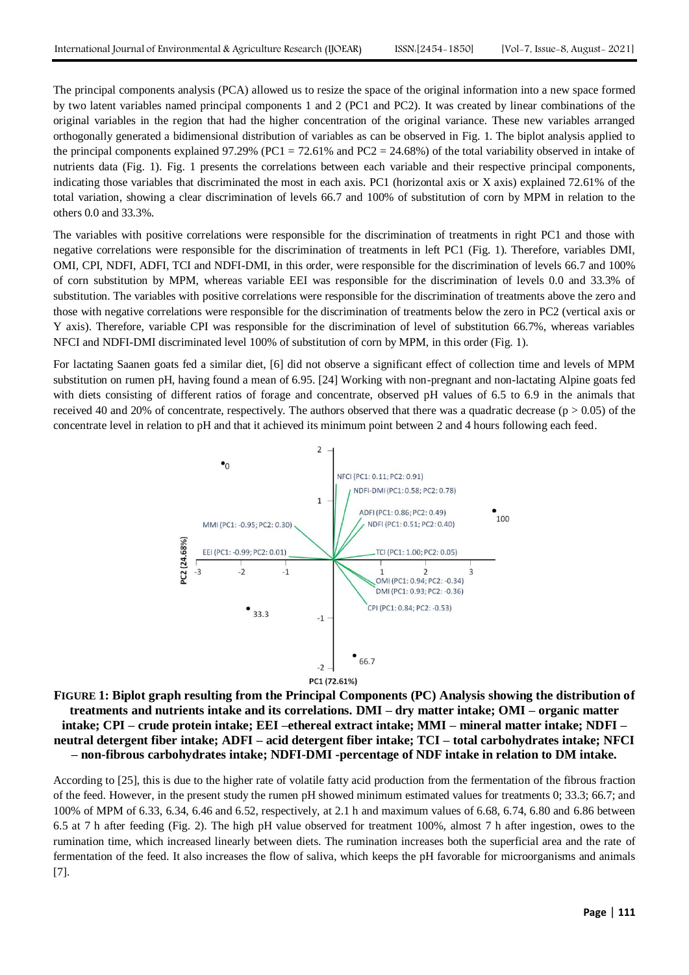The principal components analysis (PCA) allowed us to resize the space of the original information into a new space formed by two latent variables named principal components 1 and 2 (PC1 and PC2). It was created by linear combinations of the original variables in the region that had the higher concentration of the original variance. These new variables arranged orthogonally generated a bidimensional distribution of variables as can be observed in Fig. 1. The biplot analysis applied to the principal components explained 97.29% (PC1 = 72.61% and PC2 = 24.68%) of the total variability observed in intake of nutrients data (Fig. 1). Fig. 1 presents the correlations between each variable and their respective principal components, indicating those variables that discriminated the most in each axis. PC1 (horizontal axis or X axis) explained 72.61% of the total variation, showing a clear discrimination of levels 66.7 and 100% of substitution of corn by MPM in relation to the others 0.0 and 33.3%.

The variables with positive correlations were responsible for the discrimination of treatments in right PC1 and those with negative correlations were responsible for the discrimination of treatments in left PC1 (Fig. 1). Therefore, variables DMI, OMI, CPI, NDFI, ADFI, TCI and NDFI-DMI, in this order, were responsible for the discrimination of levels 66.7 and 100% of corn substitution by MPM, whereas variable EEI was responsible for the discrimination of levels 0.0 and 33.3% of substitution. The variables with positive correlations were responsible for the discrimination of treatments above the zero and those with negative correlations were responsible for the discrimination of treatments below the zero in PC2 (vertical axis or Y axis). Therefore, variable CPI was responsible for the discrimination of level of substitution 66.7%, whereas variables NFCI and NDFI-DMI discriminated level 100% of substitution of corn by MPM, in this order (Fig. 1).

For lactating Saanen goats fed a similar diet, [6] did not observe a significant effect of collection time and levels of MPM substitution on rumen pH, having found a mean of 6.95. [24] Working with non-pregnant and non-lactating Alpine goats fed with diets consisting of different ratios of forage and concentrate, observed pH values of 6.5 to 6.9 in the animals that received 40 and 20% of concentrate, respectively. The authors observed that there was a quadratic decrease ( $p > 0.05$ ) of the concentrate level in relation to pH and that it achieved its minimum point between 2 and 4 hours following each feed.



**FIGURE 1: Biplot graph resulting from the Principal Components (PC) Analysis showing the distribution of treatments and nutrients intake and its correlations. DMI – dry matter intake; OMI – organic matter intake; CPI – crude protein intake; EEI –ethereal extract intake; MMI – mineral matter intake; NDFI – neutral detergent fiber intake; ADFI – acid detergent fiber intake; TCI – total carbohydrates intake; NFCI – non-fibrous carbohydrates intake; NDFI-DMI -percentage of NDF intake in relation to DM intake.**

According to [25], this is due to the higher rate of volatile fatty acid production from the fermentation of the fibrous fraction of the feed. However, in the present study the rumen pH showed minimum estimated values for treatments 0; 33.3; 66.7; and 100% of MPM of 6.33, 6.34, 6.46 and 6.52, respectively, at 2.1 h and maximum values of 6.68, 6.74, 6.80 and 6.86 between 6.5 at 7 h after feeding (Fig. 2). The high pH value observed for treatment 100%, almost 7 h after ingestion, owes to the rumination time, which increased linearly between diets. The rumination increases both the superficial area and the rate of fermentation of the feed. It also increases the flow of saliva, which keeps the pH favorable for microorganisms and animals [7].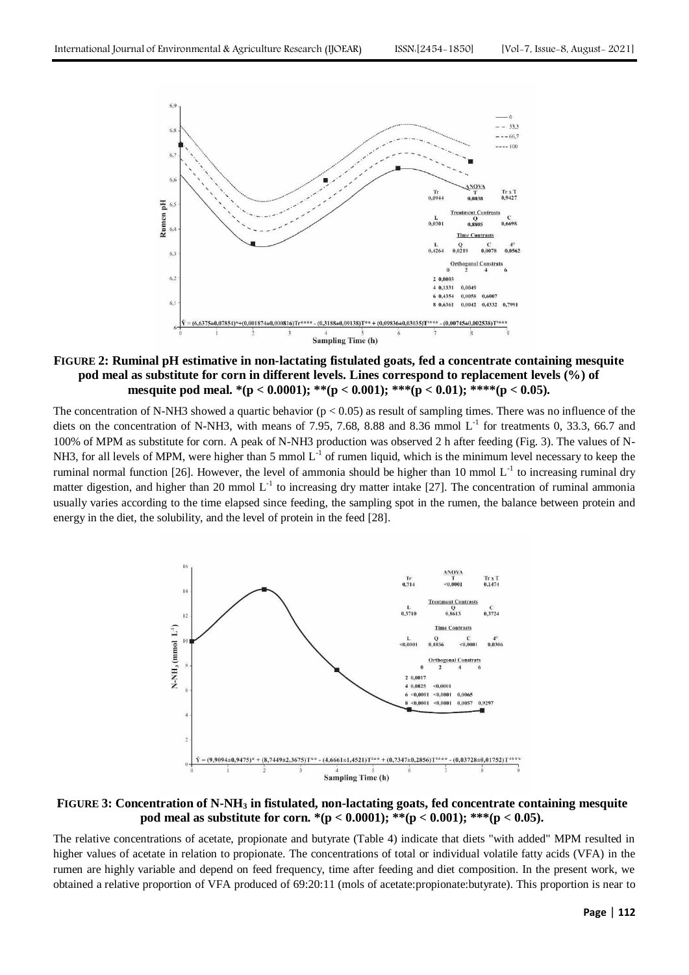

**FIGURE 2: Ruminal pH estimative in non-lactating fistulated goats, fed a concentrate containing mesquite pod meal as substitute for corn in different levels. Lines correspond to replacement levels (%) of mesquite pod meal. \*(p < 0.0001); \*\*(p < 0.001); \*\*\*(p < 0.01); \*\*\*\*(p < 0.05).**

The concentration of N-NH3 showed a quartic behavior ( $p < 0.05$ ) as result of sampling times. There was no influence of the diets on the concentration of N-NH3, with means of 7.95, 7.68, 8.88 and 8.36 mmol  $L^{-1}$  for treatments 0, 33.3, 66.7 and 100% of MPM as substitute for corn. A peak of N-NH3 production was observed 2 h after feeding (Fig. 3). The values of N-NH3, for all levels of MPM, were higher than 5 mmol  $L^{-1}$  of rumen liquid, which is the minimum level necessary to keep the ruminal normal function [26]. However, the level of ammonia should be higher than 10 mmol  $L<sup>-1</sup>$  to increasing ruminal dry matter digestion, and higher than 20 mmol  $L^{-1}$  to increasing dry matter intake [27]. The concentration of ruminal ammonia usually varies according to the time elapsed since feeding, the sampling spot in the rumen, the balance between protein and energy in the diet, the solubility, and the level of protein in the feed [28].



**FIGURE 3: Concentration of N-NH<sup>3</sup> in fistulated, non-lactating goats, fed concentrate containing mesquite pod meal as substitute for corn. \*(p < 0.0001); \*\*(p < 0.001); \*\*\*(p < 0.05).**

The relative concentrations of acetate, propionate and butyrate (Table 4) indicate that diets "with added" MPM resulted in higher values of acetate in relation to propionate. The concentrations of total or individual volatile fatty acids (VFA) in the rumen are highly variable and depend on feed frequency, time after feeding and diet composition. In the present work, we obtained a relative proportion of VFA produced of 69:20:11 (mols of acetate:propionate:butyrate). This proportion is near to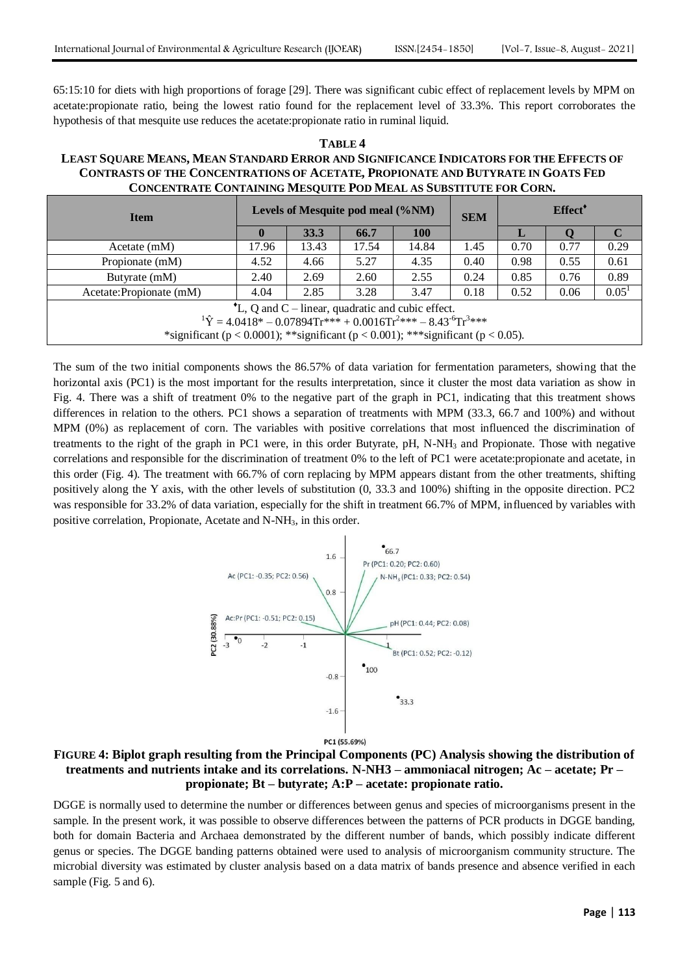65:15:10 for diets with high proportions of forage [29]. There was significant cubic effect of replacement levels by MPM on acetate:propionate ratio, being the lowest ratio found for the replacement level of 33.3%. This report corroborates the hypothesis of that mesquite use reduces the acetate:propionate ratio in ruminal liquid.

# **TABLE 4 LEAST SQUARE MEANS, MEAN STANDARD ERROR AND SIGNIFICANCE INDICATORS FOR THE EFFECTS OF CONTRASTS OF THE CONCENTRATIONS OF ACETATE, PROPIONATE AND BUTYRATE IN GOATS FED CONCENTRATE CONTAINING MESQUITE POD MEAL AS SUBSTITUTE FOR CORN.**

| <b>Item</b>                                                                                                                                                                                                                                                                     | Levels of Mesquite pod meal (%NM) |       |       |            | <b>SEM</b> | Effect <sup>*</sup> |      |                   |
|---------------------------------------------------------------------------------------------------------------------------------------------------------------------------------------------------------------------------------------------------------------------------------|-----------------------------------|-------|-------|------------|------------|---------------------|------|-------------------|
|                                                                                                                                                                                                                                                                                 |                                   | 33.3  | 66.7  | <b>100</b> |            | ш                   |      |                   |
| Acetate(mM)                                                                                                                                                                                                                                                                     | 17.96                             | 13.43 | 17.54 | 14.84      | 1.45       | 0.70                | 0.77 | 0.29              |
| Propionate (mM)                                                                                                                                                                                                                                                                 | 4.52                              | 4.66  | 5.27  | 4.35       | 0.40       | 0.98                | 0.55 | 0.61              |
| Butyrate (mM)                                                                                                                                                                                                                                                                   | 2.40                              | 2.69  | 2.60  | 2.55       | 0.24       | 0.85                | 0.76 | 0.89              |
| Acetate: Propionate (mM)                                                                                                                                                                                                                                                        | 4.04                              | 2.85  | 3.28  | 3.47       | 0.18       | 0.52                | 0.06 | 0.05 <sup>1</sup> |
| <sup>•</sup> L, Q and C – linear, quadratic and cubic effect.<br><sup>1</sup> $\hat{Y} = 4.0418^* - 0.07894 \text{Tr}^{***} + 0.0016 \text{Tr}^{2***} - 8.43 \text{°Tr}^{3***}$<br>*significant ( $p < 0.0001$ ); **significant ( $p < 0.001$ ); ***significant ( $p < 0.05$ ). |                                   |       |       |            |            |                     |      |                   |

The sum of the two initial components shows the 86.57% of data variation for fermentation parameters, showing that the horizontal axis (PC1) is the most important for the results interpretation, since it cluster the most data variation as show in Fig. 4. There was a shift of treatment 0% to the negative part of the graph in PC1, indicating that this treatment shows differences in relation to the others. PC1 shows a separation of treatments with MPM (33.3, 66.7 and 100%) and without MPM (0%) as replacement of corn. The variables with positive correlations that most influenced the discrimination of treatments to the right of the graph in PC1 were, in this order Butyrate, pH, N-NH<sub>3</sub> and Propionate. Those with negative correlations and responsible for the discrimination of treatment 0% to the left of PC1 were acetate:propionate and acetate, in this order (Fig. 4). The treatment with 66.7% of corn replacing by MPM appears distant from the other treatments, shifting positively along the Y axis, with the other levels of substitution (0, 33.3 and 100%) shifting in the opposite direction. PC2 was responsible for 33.2% of data variation, especially for the shift in treatment 66.7% of MPM, influenced by variables with positive correlation, Propionate, Acetate and N-NH<sub>3</sub>, in this order.



PC1 (55.69%)

## **FIGURE 4: Biplot graph resulting from the Principal Components (PC) Analysis showing the distribution of treatments and nutrients intake and its correlations. N-NH3 – ammoniacal nitrogen; Ac – acetate; Pr – propionate; Bt – butyrate; A:P – acetate: propionate ratio.**

DGGE is normally used to determine the number or differences between genus and species of microorganisms present in the sample. In the present work, it was possible to observe differences between the patterns of PCR products in DGGE banding, both for domain Bacteria and Archaea demonstrated by the different number of bands, which possibly indicate different genus or species. The DGGE banding patterns obtained were used to analysis of microorganism community structure. The microbial diversity was estimated by cluster analysis based on a data matrix of bands presence and absence verified in each sample (Fig. 5 and 6).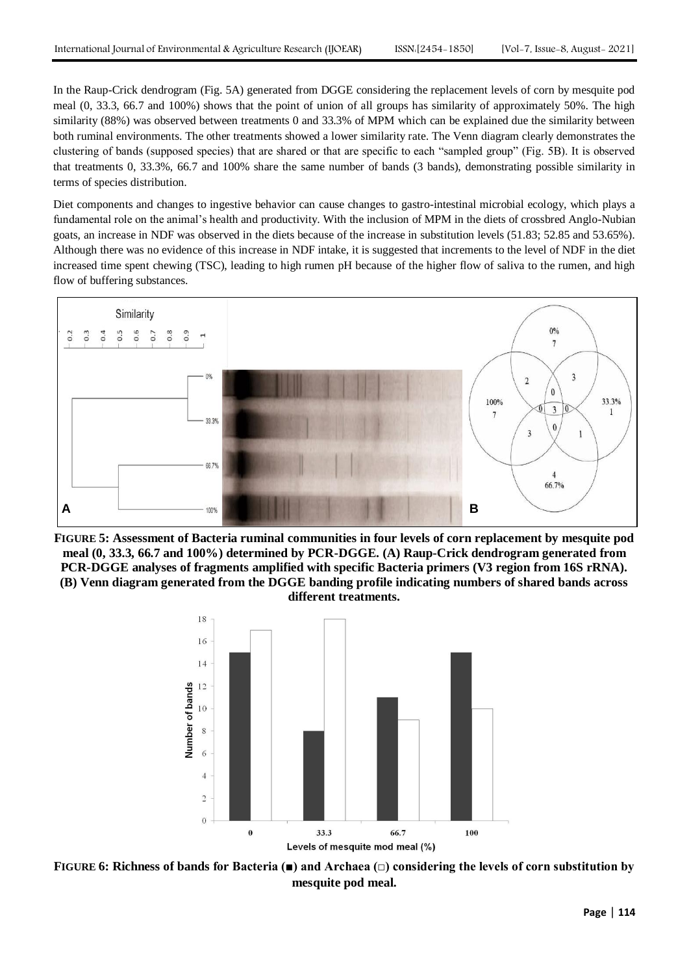In the Raup-Crick dendrogram (Fig. 5A) generated from DGGE considering the replacement levels of corn by mesquite pod meal (0, 33.3, 66.7 and 100%) shows that the point of union of all groups has similarity of approximately 50%. The high similarity (88%) was observed between treatments 0 and 33.3% of MPM which can be explained due the similarity between both ruminal environments. The other treatments showed a lower similarity rate. The Venn diagram clearly demonstrates the clustering of bands (supposed species) that are shared or that are specific to each "sampled group" (Fig. 5B). It is observed that treatments 0, 33.3%, 66.7 and 100% share the same number of bands (3 bands), demonstrating possible similarity in terms of species distribution.

Diet components and changes to ingestive behavior can cause changes to gastro-intestinal microbial ecology, which plays a fundamental role on the animal"s health and productivity. With the inclusion of MPM in the diets of crossbred Anglo-Nubian goats, an increase in NDF was observed in the diets because of the increase in substitution levels (51.83; 52.85 and 53.65%). Although there was no evidence of this increase in NDF intake, it is suggested that increments to the level of NDF in the diet increased time spent chewing (TSC), leading to high rumen pH because of the higher flow of saliva to the rumen, and high flow of buffering substances.







**FIGURE 6: Richness of bands for Bacteria (■) and Archaea (□) considering the levels of corn substitution by mesquite pod meal.**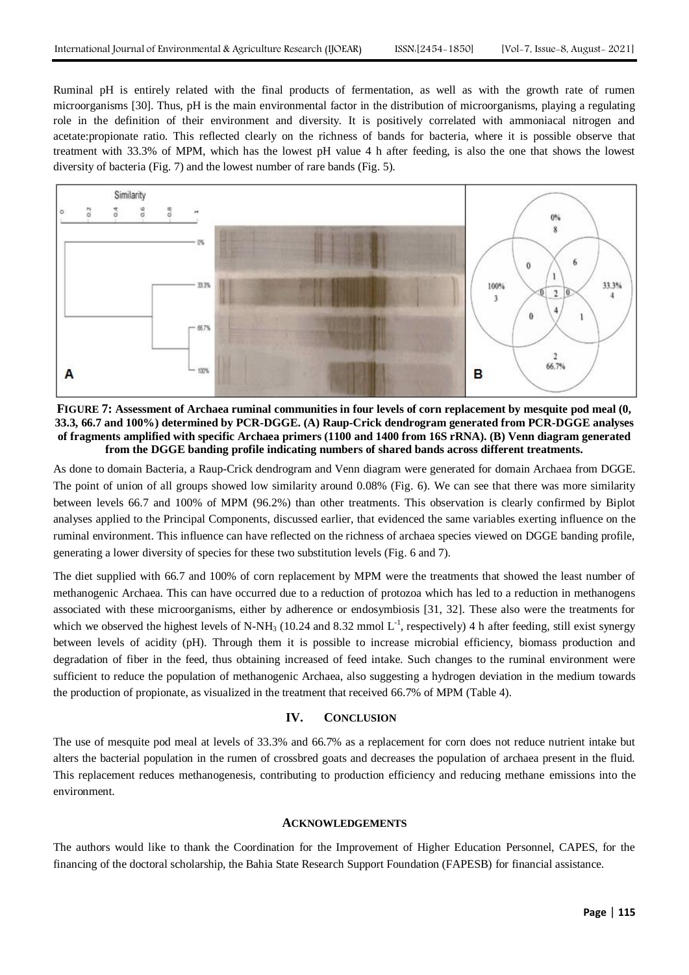Ruminal pH is entirely related with the final products of fermentation, as well as with the growth rate of rumen microorganisms [30]. Thus, pH is the main environmental factor in the distribution of microorganisms, playing a regulating role in the definition of their environment and diversity. It is positively correlated with ammoniacal nitrogen and acetate:propionate ratio. This reflected clearly on the richness of bands for bacteria, where it is possible observe that treatment with 33.3% of MPM, which has the lowest pH value 4 h after feeding, is also the one that shows the lowest diversity of bacteria (Fig. 7) and the lowest number of rare bands (Fig. 5).



**FIGURE 7: Assessment of Archaea ruminal communities in four levels of corn replacement by mesquite pod meal (0, 33.3, 66.7 and 100%) determined by PCR-DGGE. (A) Raup-Crick dendrogram generated from PCR-DGGE analyses of fragments amplified with specific Archaea primers (1100 and 1400 from 16S rRNA). (B) Venn diagram generated from the DGGE banding profile indicating numbers of shared bands across different treatments.**

As done to domain Bacteria, a Raup-Crick dendrogram and Venn diagram were generated for domain Archaea from DGGE. The point of union of all groups showed low similarity around 0.08% (Fig. 6). We can see that there was more similarity between levels 66.7 and 100% of MPM (96.2%) than other treatments. This observation is clearly confirmed by Biplot analyses applied to the Principal Components, discussed earlier, that evidenced the same variables exerting influence on the ruminal environment. This influence can have reflected on the richness of archaea species viewed on DGGE banding profile, generating a lower diversity of species for these two substitution levels (Fig. 6 and 7).

The diet supplied with 66.7 and 100% of corn replacement by MPM were the treatments that showed the least number of methanogenic Archaea. This can have occurred due to a reduction of protozoa which has led to a reduction in methanogens associated with these microorganisms, either by adherence or endosymbiosis [31, 32]. These also were the treatments for which we observed the highest levels of N-NH<sub>3</sub> (10.24 and 8.32 mmol  $L^{-1}$ , respectively) 4 h after feeding, still exist synergy between levels of acidity (pH). Through them it is possible to increase microbial efficiency, biomass production and degradation of fiber in the feed, thus obtaining increased of feed intake. Such changes to the ruminal environment were sufficient to reduce the population of methanogenic Archaea, also suggesting a hydrogen deviation in the medium towards the production of propionate, as visualized in the treatment that received 66.7% of MPM (Table 4).

## **IV. CONCLUSION**

The use of mesquite pod meal at levels of 33.3% and 66.7% as a replacement for corn does not reduce nutrient intake but alters the bacterial population in the rumen of crossbred goats and decreases the population of archaea present in the fluid. This replacement reduces methanogenesis, contributing to production efficiency and reducing methane emissions into the environment.

## **ACKNOWLEDGEMENTS**

The authors would like to thank the Coordination for the Improvement of Higher Education Personnel, CAPES, for the financing of the doctoral scholarship, the Bahia State Research Support Foundation (FAPESB) for financial assistance.